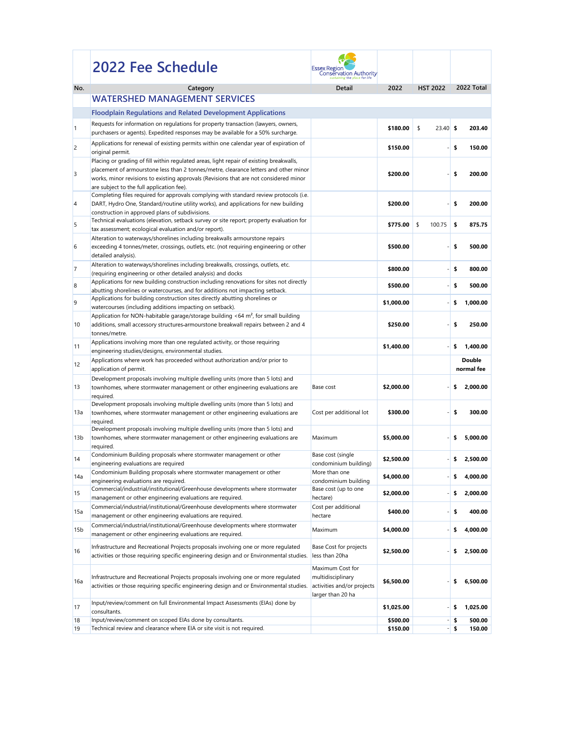|                  | 2022 Fee Schedule                                                                                                                                                                                                                                                                                                                         | <b>Essex Regior</b><br>Conservation Authority                                            |            |                  |                             |
|------------------|-------------------------------------------------------------------------------------------------------------------------------------------------------------------------------------------------------------------------------------------------------------------------------------------------------------------------------------------|------------------------------------------------------------------------------------------|------------|------------------|-----------------------------|
| No.              | Category                                                                                                                                                                                                                                                                                                                                  | <b>Detail</b>                                                                            | 2022       | <b>HST 2022</b>  | 2022 Total                  |
|                  | <b>WATERSHED MANAGEMENT SERVICES</b>                                                                                                                                                                                                                                                                                                      |                                                                                          |            |                  |                             |
|                  | <b>Floodplain Regulations and Related Development Applications</b>                                                                                                                                                                                                                                                                        |                                                                                          |            |                  |                             |
|                  | Requests for information on regulations for property transaction (lawyers, owners,<br>purchasers or agents). Expedited responses may be available for a 50% surcharge.                                                                                                                                                                    |                                                                                          | \$180.00   | \$<br>$23.40$ \$ | 203.40                      |
| $\overline{c}$   | Applications for renewal of existing permits within one calendar year of expiration of                                                                                                                                                                                                                                                    |                                                                                          | \$150.00   |                  | \$<br>150.00                |
| 3                | original permit.<br>Placing or grading of fill within regulated areas, light repair of existing breakwalls,<br>placement of armourstone less than 2 tonnes/metre, clearance letters and other minor<br>works, minor revisions to existing approvals (Revisions that are not considered minor<br>are subject to the full application fee). |                                                                                          | \$200.00   |                  | \$<br>200.00                |
| $\overline{4}$   | Completing files required for approvals complying with standard review protocols (i.e.<br>DART, Hydro One, Standard/routine utility works), and applications for new building<br>construction in approved plans of subdivisions.                                                                                                          |                                                                                          | \$200.00   |                  | 200.00<br>\$                |
| 5                | Technical evaluations (elevation, setback survey or site report; property evaluation for<br>tax assessment; ecological evaluation and/or report).                                                                                                                                                                                         |                                                                                          | \$775.00   | 100.75<br>\$     | \$<br>875.75                |
| 6                | Alteration to waterways/shorelines including breakwalls armourstone repairs<br>exceeding 4 tonnes/meter, crossings, outlets, etc. (not requiring engineering or other<br>detailed analysis).                                                                                                                                              |                                                                                          | \$500.00   |                  | 500.00<br>\$                |
|                  | Alteration to waterways/shorelines including breakwalls, crossings, outlets, etc.<br>(requiring engineering or other detailed analysis) and docks                                                                                                                                                                                         |                                                                                          | \$800.00   |                  | \$<br>800.00                |
| $\boldsymbol{8}$ | Applications for new building construction including renovations for sites not directly<br>abutting shorelines or watercourses, and for additions not impacting setback.                                                                                                                                                                  |                                                                                          | \$500.00   |                  | \$<br>500.00                |
| 9                | Applications for building construction sites directly abutting shorelines or<br>watercourses (including additions impacting on setback).                                                                                                                                                                                                  |                                                                                          | \$1,000.00 |                  | 1,000.00                    |
| 10               | Application for NON-habitable garage/storage building <64 $m^2$ , for small building<br>additions, small accessory structures-armourstone breakwall repairs between 2 and 4<br>tonnes/metre.                                                                                                                                              |                                                                                          | \$250.00   |                  | \$<br>250.00                |
| 11               | Applications involving more than one regulated activity, or those requiring<br>engineering studies/designs, environmental studies.                                                                                                                                                                                                        |                                                                                          | \$1,400.00 |                  | 1,400.00<br>\$              |
| 12               | Applications where work has proceeded without authorization and/or prior to<br>application of permit.                                                                                                                                                                                                                                     |                                                                                          |            |                  | <b>Double</b><br>normal fee |
|                  | Development proposals involving multiple dwelling units (more than 5 lots) and                                                                                                                                                                                                                                                            |                                                                                          |            |                  |                             |
| 13               | townhomes, where stormwater management or other engineering evaluations are<br>required.                                                                                                                                                                                                                                                  | Base cost                                                                                | \$2,000.00 |                  | 2,000.00                    |
|                  | Development proposals involving multiple dwelling units (more than 5 lots) and                                                                                                                                                                                                                                                            |                                                                                          |            |                  |                             |
| 13a              | townhomes, where stormwater management or other engineering evaluations are<br>required.                                                                                                                                                                                                                                                  | Cost per additional lot                                                                  | \$300.00   |                  | 300.00<br>\$                |
| 13b              | Development proposals involving multiple dwelling units (more than 5 lots) and<br>townhomes, where stormwater management or other engineering evaluations are                                                                                                                                                                             | Maximum                                                                                  | \$5,000.00 |                  | 5,000.00                    |
| 14               | required.<br>Condominium Building proposals where stormwater management or other<br>engineering evaluations are required                                                                                                                                                                                                                  | Base cost (single<br>condominium building)                                               | \$2,500.00 |                  | 2,500.00<br>S               |
| 14a              | Condominium Building proposals where stormwater management or other<br>engineering evaluations are required.                                                                                                                                                                                                                              | More than one<br>condominium building                                                    | \$4,000.00 |                  | 4,000.00                    |
| 15               | Commercial/industrial/institutional/Greenhouse developments where stormwater<br>management or other engineering evaluations are required.                                                                                                                                                                                                 | Base cost (up to one<br>hectare)                                                         | \$2,000.00 |                  | 2,000.00<br>\$              |
| 15a              | Commercial/industrial/institutional/Greenhouse developments where stormwater<br>management or other engineering evaluations are required.                                                                                                                                                                                                 | Cost per additional<br>hectare                                                           | \$400.00   |                  | \$<br>400.00                |
| 15 <sub>b</sub>  | Commercial/industrial/institutional/Greenhouse developments where stormwater<br>management or other engineering evaluations are required.                                                                                                                                                                                                 | Maximum                                                                                  | \$4,000.00 |                  | 4,000.00                    |
| 16               | Infrastructure and Recreational Projects proposals involving one or more regulated<br>activities or those requiring specific engineering design and or Environmental studies.                                                                                                                                                             | Base Cost for projects<br>less than 20ha                                                 | \$2,500.00 |                  | 2,500.00                    |
| 16a              | Infrastructure and Recreational Projects proposals involving one or more regulated<br>activities or those requiring specific engineering design and or Environmental studies.                                                                                                                                                             | Maximum Cost for<br>multidisciplinary<br>activities and/or projects<br>larger than 20 ha | \$6,500.00 |                  | 6,500.00                    |
| 17               | Input/review/comment on full Environmental Impact Assessments (EIAs) done by<br>consultants.                                                                                                                                                                                                                                              |                                                                                          | \$1,025.00 |                  | 1,025.00<br>\$              |
| 18               | Input/review/comment on scoped EIAs done by consultants.                                                                                                                                                                                                                                                                                  |                                                                                          | \$500.00   |                  | 500.00<br>\$                |
| 19               | Technical review and clearance where EIA or site visit is not required.                                                                                                                                                                                                                                                                   |                                                                                          | \$150.00   |                  | 150.00<br>\$                |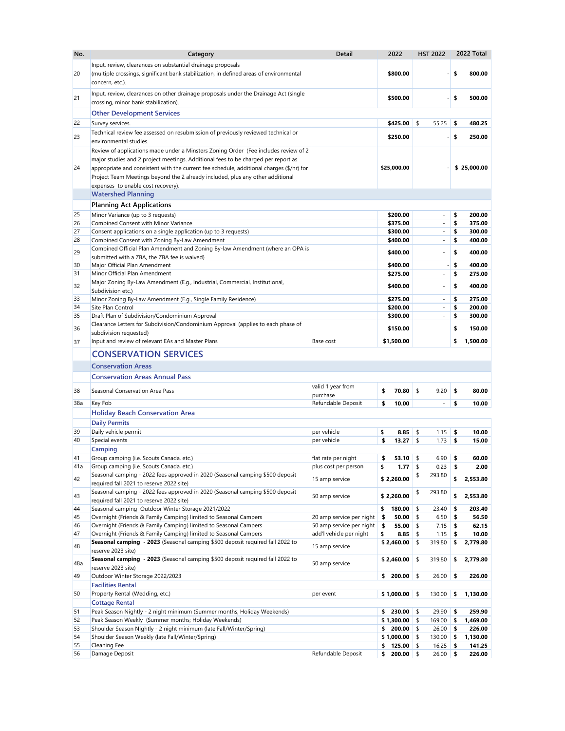| No.      | Category                                                                                                                                                                                                                                                                                              | <b>Detail</b>                                        | 2022                            | <b>HST 2022</b>                                      |          | 2022 Total       |
|----------|-------------------------------------------------------------------------------------------------------------------------------------------------------------------------------------------------------------------------------------------------------------------------------------------------------|------------------------------------------------------|---------------------------------|------------------------------------------------------|----------|------------------|
| 20       | Input, review, clearances on substantial drainage proposals<br>(multiple crossings, significant bank stabilization, in defined areas of environmental<br>concern, etc.).                                                                                                                              |                                                      | \$800.00                        |                                                      | \$       | 800.00           |
| 21       | Input, review, clearances on other drainage proposals under the Drainage Act (single<br>crossing, minor bank stabilization).                                                                                                                                                                          |                                                      | \$500.00                        |                                                      | \$       | 500.00           |
|          | <b>Other Development Services</b>                                                                                                                                                                                                                                                                     |                                                      |                                 |                                                      |          |                  |
| 22       | Survey services.                                                                                                                                                                                                                                                                                      |                                                      | \$425.00                        | 55.25<br>\$                                          | \$       | 480.25           |
|          | Technical review fee assessed on resubmission of previously reviewed technical or                                                                                                                                                                                                                     |                                                      |                                 |                                                      |          |                  |
| 23       | environmental studies.                                                                                                                                                                                                                                                                                |                                                      | \$250.00                        |                                                      | \$       | 250.00           |
|          | Review of applications made under a Minsters Zoning Order (Fee includes review of 2                                                                                                                                                                                                                   |                                                      |                                 |                                                      |          |                  |
| 24       | major studies and 2 project meetings. Additional fees to be charged per report as<br>appropriate and consistent with the current fee schedule, additional charges (\$/hr) for<br>Project Team Meetings beyond the 2 already included, plus any other additional<br>expenses to enable cost recovery). |                                                      | \$25,000.00                     |                                                      |          | \$25,000.00      |
|          | <b>Watershed Planning</b>                                                                                                                                                                                                                                                                             |                                                      |                                 |                                                      |          |                  |
|          | <b>Planning Act Applications</b>                                                                                                                                                                                                                                                                      |                                                      |                                 |                                                      |          |                  |
| 25       | Minor Variance (up to 3 requests)                                                                                                                                                                                                                                                                     |                                                      | \$200.00                        | $\overline{\phantom{a}}$                             | \$       | 200.00           |
| 26       | <b>Combined Consent with Minor Variance</b>                                                                                                                                                                                                                                                           |                                                      | \$375.00                        |                                                      | \$       | 375.00           |
| 27<br>28 | Consent applications on a single application (up to 3 requests)<br>Combined Consent with Zoning By-Law Amendment                                                                                                                                                                                      |                                                      | \$300.00<br>\$400.00            | $\overline{\phantom{a}}$<br>$\overline{\phantom{a}}$ | \$<br>\$ | 300.00<br>400.00 |
|          | Combined Official Plan Amendment and Zoning By-law Amendment (where an OPA is                                                                                                                                                                                                                         |                                                      |                                 |                                                      |          |                  |
| 29       | submitted with a ZBA, the ZBA fee is waived)                                                                                                                                                                                                                                                          |                                                      | \$400.00                        | $\overline{\phantom{0}}$                             | \$       | 400.00           |
| 30       | Major Official Plan Amendment                                                                                                                                                                                                                                                                         |                                                      | \$400.00                        |                                                      | \$       | 400.00           |
| 31       | Minor Official Plan Amendment<br>Major Zoning By-Law Amendment (E.g., Industrial, Commercial, Institutional,                                                                                                                                                                                          |                                                      | \$275.00                        | $\overline{\phantom{a}}$                             | \$       | 275.00           |
| 32       | Subdivision etc.)                                                                                                                                                                                                                                                                                     |                                                      | \$400.00                        | $\overline{\phantom{a}}$                             | \$       | 400.00           |
| 33<br>34 | Minor Zoning By-Law Amendment (E.g., Single Family Residence)<br>Site Plan Control                                                                                                                                                                                                                    |                                                      | \$275.00<br>\$200.00            | $\overline{\phantom{a}}$<br>Ξ.                       | \$<br>\$ | 275.00<br>200.00 |
| 35       | Draft Plan of Subdivision/Condominium Approval                                                                                                                                                                                                                                                        |                                                      | \$300.00                        |                                                      | \$       | 300.00           |
| 36       | Clearance Letters for Subdivision/Condominium Approval (applies to each phase of                                                                                                                                                                                                                      |                                                      | \$150.00                        |                                                      | \$       | 150.00           |
|          | subdivision requested)                                                                                                                                                                                                                                                                                |                                                      |                                 |                                                      |          |                  |
| 37       | Input and review of relevant EAs and Master Plans                                                                                                                                                                                                                                                     | Base cost                                            | \$1,500.00                      |                                                      | \$       | 1,500.00         |
|          | <b>CONSERVATION SERVICES</b>                                                                                                                                                                                                                                                                          |                                                      |                                 |                                                      |          |                  |
|          | <b>Conservation Areas</b>                                                                                                                                                                                                                                                                             |                                                      |                                 |                                                      |          |                  |
|          | <b>Conservation Areas Annual Pass</b>                                                                                                                                                                                                                                                                 |                                                      |                                 |                                                      |          |                  |
| 38       | Seasonal Conservation Area Pass                                                                                                                                                                                                                                                                       | valid 1 year from<br>purchase                        | \$<br>70.80                     | \$<br>9.20                                           | \$       | 80.00            |
| 38a      | <b>Key Fob</b>                                                                                                                                                                                                                                                                                        | Refundable Deposit                                   | \$<br>10.00                     | $\overline{\phantom{a}}$                             | \$       | 10.00            |
|          | <b>Holiday Beach Conservation Area</b>                                                                                                                                                                                                                                                                |                                                      |                                 |                                                      |          |                  |
|          | <b>Daily Permits</b>                                                                                                                                                                                                                                                                                  |                                                      |                                 |                                                      |          |                  |
| 39       | Daily vehicle permit                                                                                                                                                                                                                                                                                  | per vehicle                                          | \$<br>8.85                      | \$<br>1.15                                           | \$       | 10.00            |
| 40       | Special events<br><b>Camping</b>                                                                                                                                                                                                                                                                      | per vehicle                                          | \$<br>13.27 \$                  | 1.73                                                 | \$       | 15.00            |
| 41       | Group camping (i.e. Scouts Canada, etc.)                                                                                                                                                                                                                                                              | flat rate per night                                  | \$<br>53.10                     | \$<br>6.90                                           | \$       | 60.00            |
| 41a      | Group camping (i.e. Scouts Canada, etc.)                                                                                                                                                                                                                                                              | plus cost per person                                 | \$<br>1.77                      | \$<br>0.23                                           | \$       | 2.00             |
| 42       | Seasonal camping - 2022 fees approved in 2020 (Seasonal camping \$500 deposit<br>required fall 2021 to reserve 2022 site)                                                                                                                                                                             | 15 amp service                                       | \$2,260.00                      | 293.80                                               | \$       | 2,553.80         |
| 43       | Seasonal camping - 2022 fees approved in 2020 (Seasonal camping \$500 deposit<br>required fall 2021 to reserve 2022 site)                                                                                                                                                                             | 50 amp service                                       | \$2,260.00                      | \$<br>293.80                                         | \$       | 2,553.80         |
| 44       | Seasonal camping Outdoor Winter Storage 2021/2022                                                                                                                                                                                                                                                     |                                                      | \$<br>180.00                    | \$<br>23.40                                          | \$       | 203.40           |
| 45<br>46 | Overnight (Friends & Family Camping) limited to Seasonal Campers<br>Overnight (Friends & Family Camping) limited to Seasonal Campers                                                                                                                                                                  | 20 amp service per night<br>50 amp service per night | 50.00<br>S.<br>55.00<br>\$      | \$<br>6.50<br>\$<br>7.15                             | \$<br>\$ | 56.50<br>62.15   |
| 47       | Overnight (Friends & Family Camping) limited to Seasonal Campers                                                                                                                                                                                                                                      | add'l vehicle per night                              | \$<br>8.85                      | \$<br>1.15                                           | \$       | 10.00            |
| 48       | Seasonal camping - 2023 (Seasonal camping \$500 deposit required fall 2022 to<br>reserve 2023 site)                                                                                                                                                                                                   | 15 amp service                                       | \$2,460.00                      | \$<br>319.80                                         | \$       | 2,779.80         |
| 48a      | Seasonal camping - 2023 (Seasonal camping \$500 deposit required fall 2022 to<br>reserve 2023 site)                                                                                                                                                                                                   | 50 amp service                                       | \$2,460.00                      | 319.80<br>\$                                         | \$       | 2,779.80         |
| 49       | Outdoor Winter Storage 2022/2023                                                                                                                                                                                                                                                                      |                                                      | $200.00$ \$<br>\$               | 26.00                                                | \$       | 226.00           |
|          | <b>Facilities Rental</b>                                                                                                                                                                                                                                                                              |                                                      |                                 |                                                      |          |                  |
| 50       | Property Rental (Wedding, etc.)<br><b>Cottage Rental</b>                                                                                                                                                                                                                                              | per event                                            | $$1,000.00$ \\$                 | 130.00                                               | \$       | 1,130.00         |
| 51       | Peak Season Nightly - 2 night minimum (Summer months; Holiday Weekends)                                                                                                                                                                                                                               |                                                      | \$<br>$230.00$ \$               | 29.90                                                | \$       | 259.90           |
| 52       | Peak Season Weekly (Summer months; Holiday Weekends)                                                                                                                                                                                                                                                  |                                                      | \$1,300.00                      | \$<br>169.00                                         | \$       | 1,469.00         |
| 53       | Shoulder Season Nightly - 2 night minimum (late Fall/Winter/Spring)                                                                                                                                                                                                                                   |                                                      | \$<br>$200.00$ \$               | 26.00                                                | \$       | 226.00           |
| 54       | Shoulder Season Weekly (late Fall/Winter/Spring)                                                                                                                                                                                                                                                      |                                                      | \$1,000.00                      | 130.00<br>-\$                                        | \$       | 1,130.00         |
| 55<br>56 | <b>Cleaning Fee</b><br>Damage Deposit                                                                                                                                                                                                                                                                 | Refundable Deposit                                   | 125.00 \$<br>\$<br>\$<br>200.00 | 16.25<br>26.00<br>-\$                                | \$<br>\$ | 141.25<br>226.00 |
|          |                                                                                                                                                                                                                                                                                                       |                                                      |                                 |                                                      |          |                  |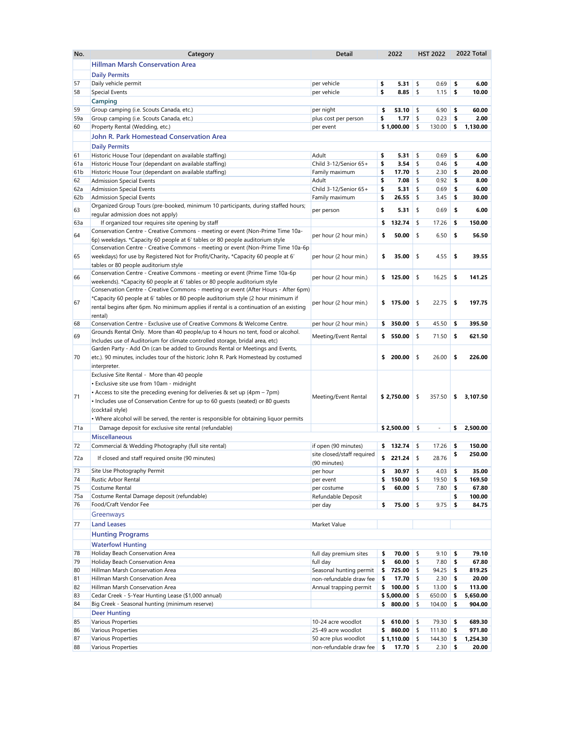| No.             | Category                                                                                                       | <b>Detail</b>              | 2022                       |     | <b>HST 2022</b>          |    | 2022 Total |  |
|-----------------|----------------------------------------------------------------------------------------------------------------|----------------------------|----------------------------|-----|--------------------------|----|------------|--|
|                 | <b>Hillman Marsh Conservation Area</b>                                                                         |                            |                            |     |                          |    |            |  |
|                 | <b>Daily Permits</b>                                                                                           |                            |                            |     |                          |    |            |  |
| 57              | Daily vehicle permit                                                                                           | per vehicle                | \$<br>5.31                 | \$  | 0.69                     | \$ | 6.00       |  |
| 58              | <b>Special Events</b>                                                                                          | per vehicle                | \$<br>8.85                 | \$  | 1.15                     | \$ | 10.00      |  |
|                 | <b>Camping</b>                                                                                                 |                            |                            |     |                          |    |            |  |
| 59              | Group camping (i.e. Scouts Canada, etc.)                                                                       | per night                  | 53.10<br>\$                | \$  | 6.90                     | \$ | 60.00      |  |
| 59a             | Group camping (i.e. Scouts Canada, etc.)                                                                       | plus cost per person       | 1.77<br>\$                 | \$  | 0.23                     | \$ | 2.00       |  |
| 60              | Property Rental (Wedding, etc.)                                                                                | per event                  | \$1,000.00                 | \$  | 130.00                   | \$ | 1,130.00   |  |
|                 | <b>John R. Park Homestead Conservation Area</b>                                                                |                            |                            |     |                          |    |            |  |
|                 | <b>Daily Permits</b>                                                                                           |                            |                            |     |                          |    |            |  |
|                 |                                                                                                                | Adult                      | 5.31                       | \$  | 0.69                     | \$ | 6.00       |  |
| 61<br>61a       | Historic House Tour (dependant on available staffing)<br>Historic House Tour (dependant on available staffing) | Child 3-12/Senior 65+      | \$<br>\$<br>3.54           | -\$ | 0.46                     | \$ | 4.00       |  |
| 61b             | Historic House Tour (dependant on available staffing)                                                          | Family maximum             | \$<br>17.70                | -\$ | 2.30                     | \$ | 20.00      |  |
| 62              | <b>Admission Special Events</b>                                                                                | Adult                      | \$<br>7.08                 |     | 0.92                     | S  | 8.00       |  |
| 62a             | <b>Admission Special Events</b>                                                                                | Child 3-12/Senior 65+      | \$<br>5.31                 | \$  | 0.69                     | \$ | 6.00       |  |
| 62 <sub>b</sub> | <b>Admission Special Events</b>                                                                                | Family maximum             | \$<br>26.55                | -S  | 3.45                     | \$ | 30.00      |  |
|                 | Organized Group Tours (pre-booked, minimum 10 participants, during staffed hours;                              |                            |                            |     |                          |    |            |  |
| 63              | regular admission does not apply)                                                                              | per person                 | \$<br>5.31                 | \$  | 0.69                     | \$ | 6.00       |  |
| 63a             | If organized tour requires site opening by staff                                                               |                            | \$<br>132.74               | \$  | 17.26                    | \$ | 150.00     |  |
|                 | Conservation Centre - Creative Commons - meeting or event (Non-Prime Time 10a-                                 |                            |                            |     |                          |    |            |  |
| 64              | 6p) weekdays. *Capacity 60 people at 6' tables or 80 people auditorium style                                   | per hour (2 hour min.)     | \$<br>50.00                | \$  | 6.50                     | \$ | 56.50      |  |
|                 | Conservation Centre - Creative Commons - meeting or event (Non-Prime Time 10a-6p                               |                            |                            |     |                          |    |            |  |
| 65              | weekdays) for use by Registered Not for Profit/Charity. *Capacity 60 people at 6'                              | per hour (2 hour min.)     | \$<br>35.00                | \$  | 4.55                     | \$ | 39.55      |  |
|                 | tables or 80 people auditorium style                                                                           |                            |                            |     |                          |    |            |  |
|                 | Conservation Centre - Creative Commons - meeting or event (Prime Time 10a-6p                                   |                            |                            |     |                          |    |            |  |
| 66              | weekends). *Capacity 60 people at 6' tables or 80 people auditorium style                                      | per hour (2 hour min.)     | \$<br>125.00               | \$  | 16.25                    | \$ | 141.25     |  |
|                 | Conservation Centre - Creative Commons - meeting or event (After Hours - After 6pm)                            |                            |                            |     |                          |    |            |  |
|                 | *Capacity 60 people at 6' tables or 80 people auditorium style (2 hour minimum if                              |                            |                            |     |                          |    |            |  |
| 67              | rental begins after 6pm. No minimum applies if rental is a continuation of an existing                         | per hour (2 hour min.)     | \$<br>175.00               | \$  | 22.75                    | \$ | 197.75     |  |
|                 | rental)                                                                                                        |                            |                            |     |                          |    |            |  |
| 68              | Conservation Centre - Exclusive use of Creative Commons & Welcome Centre.                                      | per hour (2 hour min.)     | \$<br>350.00               | \$  | 45.50                    | \$ | 395.50     |  |
|                 | Grounds Rental Only. More than 40 people/up to 4 hours no tent, food or alcohol.                               |                            |                            |     |                          |    |            |  |
| 69              | Includes use of Auditorium for climate controlled storage, bridal area, etc)                                   | Meeting/Event Rental       | 550.00<br>\$               | \$  | 71.50                    | \$ | 621.50     |  |
|                 | Garden Party - Add On (can be added to Grounds Rental or Meetings and Events,                                  |                            |                            |     |                          |    |            |  |
| 70              | etc.). 90 minutes, includes tour of the historic John R. Park Homestead by costumed                            |                            | \$<br>200.00               | \$  | 26.00                    | \$ | 226.00     |  |
|                 | interpreter.                                                                                                   |                            |                            |     |                          |    |            |  |
|                 | Exclusive Site Rental - More than 40 people                                                                    |                            |                            |     |                          |    |            |  |
|                 | • Exclusive site use from 10am - midnight                                                                      |                            |                            |     |                          |    |            |  |
|                 | • Access to site the preceding evening for deliveries & set up (4pm - 7pm)                                     |                            |                            |     |                          |    |            |  |
| 71              | • Includes use of Conservation Centre for up to 60 quests (seated) or 80 quests                                | Meeting/Event Rental       | \$2,750.00                 | \$  | 357.50                   | \$ | 3,107.50   |  |
|                 | (cocktail style)                                                                                               |                            |                            |     |                          |    |            |  |
|                 | . Where alcohol will be served, the renter is responsible for obtaining liquor permits                         |                            |                            |     |                          |    |            |  |
| 71a             | Damage deposit for exclusive site rental (refundable)                                                          |                            | \$2,500.00                 | \$  | $\overline{\phantom{a}}$ | \$ | 2,500.00   |  |
|                 | <b>Miscellaneous</b>                                                                                           |                            |                            |     |                          |    |            |  |
| 72              | Commercial & Wedding Photography (full site rental)                                                            | if open (90 minutes)       | \$<br>132.74 $\frac{1}{2}$ |     | 17.26                    | \$ | 150.00     |  |
|                 |                                                                                                                | site closed/staff required |                            |     |                          | \$ | 250.00     |  |
| 72a             | If closed and staff required onsite (90 minutes)                                                               | (90 minutes)               | \$<br>221.24               | \$  | 28.76                    |    |            |  |
| 73              | Site Use Photography Permit                                                                                    | per hour                   | 30.97                      | \$  | 4.03                     | \$ | 35.00      |  |
| 74              | <b>Rustic Arbor Rental</b>                                                                                     | per event                  | \$<br>150.00               | \$  | 19.50                    | \$ | 169.50     |  |
| 75              | Costume Rental                                                                                                 | per costume                | 60.00                      | \$  | 7.80                     | \$ | 67.80      |  |
| 75a             | Costume Rental Damage deposit (refundable)                                                                     | Refundable Deposit         |                            |     |                          |    | 100.00     |  |
| 76              | Food/Craft Vendor Fee                                                                                          | per day                    | \$<br>75.00                | \$  | 9.75                     | \$ | 84.75      |  |
|                 | Greenways                                                                                                      |                            |                            |     |                          |    |            |  |
|                 |                                                                                                                | Market Value               |                            |     |                          |    |            |  |
| 77              | <b>Land Leases</b>                                                                                             |                            |                            |     |                          |    |            |  |
|                 | <b>Hunting Programs</b>                                                                                        |                            |                            |     |                          |    |            |  |
|                 | <b>Waterfowl Hunting</b>                                                                                       |                            |                            |     |                          |    |            |  |
| 78              | Holiday Beach Conservation Area                                                                                | full day premium sites     | $70.00$ \$<br>\$           |     | 9.10                     | \$ | 79.10      |  |
| 79              | Holiday Beach Conservation Area                                                                                | full day                   | \$<br>60.00                | \$  | 7.80                     | \$ | 67.80      |  |
| 80              | Hillman Marsh Conservation Area                                                                                | Seasonal hunting permit    | 725.00<br>\$               | \$  | 94.25                    | \$ | 819.25     |  |
| 81              | Hillman Marsh Conservation Area                                                                                | non-refundable draw fee    | 17.70<br>\$                | \$  | 2.30                     | \$ | 20.00      |  |
| 82              | Hillman Marsh Conservation Area                                                                                | Annual trapping permit     | 100.00<br>\$               | \$  | 13.00                    | \$ | 113.00     |  |
| 83              | Cedar Creek - 5-Year Hunting Lease (\$1,000 annual)                                                            |                            | \$5,000.00                 | \$  | 650.00                   | \$ | 5,650.00   |  |
| 84              | Big Creek - Seasonal hunting (minimum reserve)                                                                 |                            | \$<br>800.00               | \$  | 104.00                   | \$ | 904.00     |  |
|                 | <b>Deer Hunting</b>                                                                                            |                            |                            |     |                          |    |            |  |
| 85              | <b>Various Properties</b>                                                                                      | 10-24 acre woodlot         | 610.00 \$<br>\$            |     | 79.30                    | \$ | 689.30     |  |
| 86              | Various Properties                                                                                             | 25-49 acre woodlot         | 860.00<br>S                | -S  | 111.80                   | \$ | 971.80     |  |
| 87              | <b>Various Properties</b>                                                                                      | 50 acre plus woodlot       | $$1,110.00$ \\$            |     | 144.30                   | \$ | 1,254.30   |  |
| 88              | Various Properties                                                                                             | non-refundable draw fee    | \$<br>17.70 $$$            |     | 2.30                     | \$ | 20.00      |  |